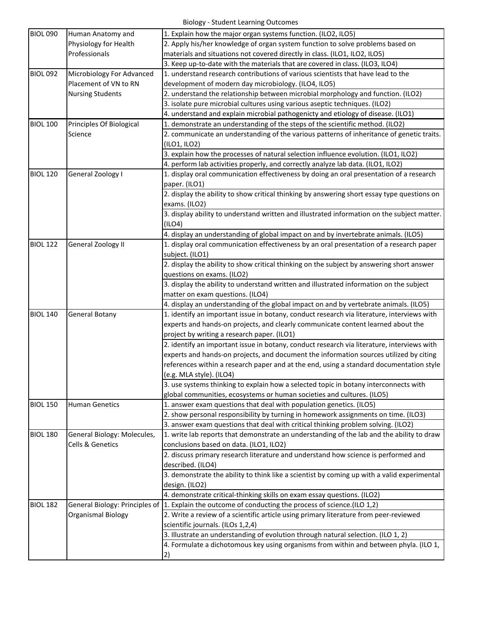| <b>BIOL 090</b> | Human Anatomy and                                | 1. Explain how the major organ systems function. (ILO2, ILO5)                                                    |
|-----------------|--------------------------------------------------|------------------------------------------------------------------------------------------------------------------|
|                 | Physiology for Health<br>Professionals           | 2. Apply his/her knowledge of organ system function to solve problems based on                                   |
|                 |                                                  | materials and situations not covered directly in class. (ILO1, ILO2, ILO5)                                       |
|                 |                                                  | 3. Keep up-to-date with the materials that are covered in class. (ILO3, ILO4)                                    |
| <b>BIOL 092</b> | Microbiology For Advanced                        | 1. understand research contributions of various scientists that have lead to the                                 |
|                 | Placement of VN to RN<br><b>Nursing Students</b> | development of modern day microbiology. (ILO4, ILO5)                                                             |
|                 |                                                  | 2. understand the relationship between microbial morphology and function. (ILO2)                                 |
|                 |                                                  | 3. isolate pure microbial cultures using various aseptic techniques. (ILO2)                                      |
|                 |                                                  | 4. understand and explain microbial pathogenicty and etiology of disease. (ILO1)                                 |
| <b>BIOL 100</b> | Principles Of Biological                         | 1. demonstrate an understanding of the steps of the scientific method. (ILO2)                                    |
|                 | Science                                          | 2. communicate an understanding of the various patterns of inheritance of genetic traits.                        |
|                 |                                                  | (ILO1, ILO2)                                                                                                     |
|                 |                                                  | 3. explain how the processes of natural selection influence evolution. (ILO1, ILO2)                              |
|                 |                                                  | 4. perform lab activities properly, and correctly analyze lab data. (ILO1, ILO2)                                 |
| <b>BIOL 120</b> | General Zoology I                                | 1. display oral communication effectiveness by doing an oral presentation of a research<br>paper. (ILO1)         |
|                 |                                                  | 2. display the ability to show critical thinking by answering short essay type questions on<br>exams. (ILO2)     |
|                 |                                                  | 3. display ability to understand written and illustrated information on the subject matter.<br>(ILO4)            |
|                 |                                                  | 4. display an understanding of global impact on and by invertebrate animals. (ILO5)                              |
| <b>BIOL 122</b> | <b>General Zoology II</b>                        | 1. display oral communication effectiveness by an oral presentation of a research paper                          |
|                 |                                                  | subject. (ILO1)                                                                                                  |
|                 |                                                  | 2. display the ability to show critical thinking on the subject by answering short answer                        |
|                 |                                                  | questions on exams. (ILO2)                                                                                       |
|                 |                                                  | 3. display the ability to understand written and illustrated information on the subject                          |
|                 |                                                  | matter on exam questions. (ILO4)                                                                                 |
|                 |                                                  | 4. display an understanding of the global impact on and by vertebrate animals. (ILO5)                            |
| <b>BIOL 140</b> | <b>General Botany</b>                            | 1. identify an important issue in botany, conduct research via literature, interviews with                       |
| <b>BIOL 150</b> |                                                  | experts and hands-on projects, and clearly communicate content learned about the                                 |
|                 |                                                  | project by writing a research paper. (ILO1)                                                                      |
|                 |                                                  | 2. identify an important issue in botany, conduct research via literature, interviews with                       |
|                 |                                                  | experts and hands-on projects, and document the information sources utilized by citing                           |
|                 |                                                  | references within a research paper and at the end, using a standard documentation style                          |
|                 |                                                  | (e.g. MLA style). (ILO4)<br>3. use systems thinking to explain how a selected topic in botany interconnects with |
|                 |                                                  | global communities, ecosystems or human societies and cultures. (ILO5)                                           |
|                 | <b>Human Genetics</b>                            | 1. answer exam questions that deal with population genetics. (ILO5)                                              |
|                 |                                                  | 2. show personal responsibility by turning in homework assignments on time. (ILO3)                               |
|                 |                                                  | 3. answer exam questions that deal with critical thinking problem solving. (ILO2)                                |
| <b>BIOL 180</b> | General Biology: Molecules,                      | 1. write lab reports that demonstrate an understanding of the lab and the ability to draw                        |
|                 | <b>Cells &amp; Genetics</b>                      | conclusions based on data. (ILO1, ILO2)                                                                          |
|                 |                                                  | 2. discuss primary research literature and understand how science is performed and                               |
|                 |                                                  | described. (ILO4)                                                                                                |
|                 |                                                  | 3. demonstrate the ability to think like a scientist by coming up with a valid experimental                      |
|                 |                                                  | design. (ILO2)                                                                                                   |
|                 |                                                  | 4. demonstrate critical-thinking skills on exam essay questions. (ILO2)                                          |
| <b>BIOL 182</b> |                                                  | General Biology: Principles of  1. Explain the outcome of conducting the process of science. (ILO 1,2)           |
|                 | <b>Organismal Biology</b>                        | 2. Write a review of a scientific article using primary literature from peer-reviewed                            |
|                 |                                                  | scientific journals. (ILOs 1,2,4)                                                                                |
|                 |                                                  | 3. Illustrate an understanding of evolution through natural selection. (ILO 1, 2)                                |
|                 |                                                  | 4. Formulate a dichotomous key using organisms from within and between phyla. (ILO 1,                            |
|                 |                                                  | $\left( 2\right)$                                                                                                |